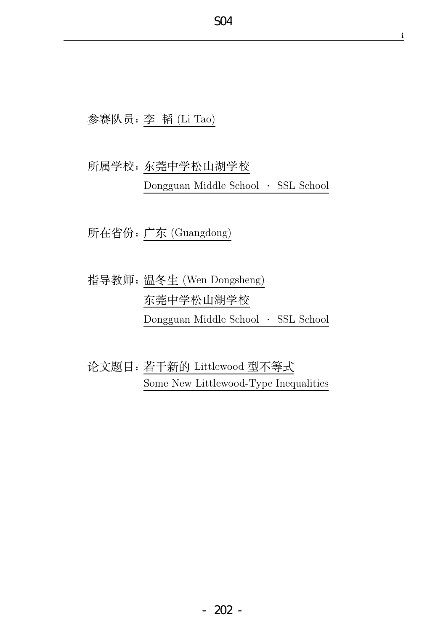i

## 参赛队员: 李 韬 (Li Tao)

# 所属学校: 东莞中学松山湖学校 Dongguan Middle School - SSL School

所在省份: 广东 (Guangdong)

指导教师: 温冬生 (Wen Dongsheng) 东莞中学松山湖学校 Dongguan Middle School - SSL School

论文题目:若干新的 Littlewood 型不等式 Some New Littlewood-Type Inequalities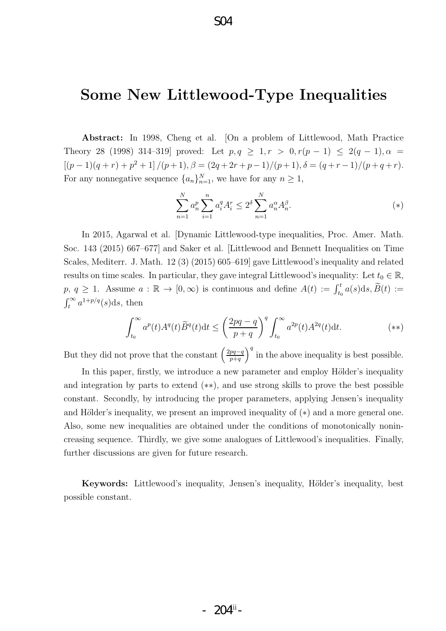## S04

## Some New Littlewood-Type Inequalities

Abstract: In 1998, Cheng et al. [On a problem of Littlewood, Math Practice Theory 28 (1998) 314–319] proved: Let  $p, q \ge 1, r > 0, r(p-1) \le 2(q-1), \alpha =$  $[(p-1)(q+r)+p^2+1]/(p+1), \beta = (2q+2r+p-1)/(p+1), \delta = (q+r-1)/(p+q+r).$ For any nonnegative sequence  $\{a_n\}_{n=1}^N$ , we have for any  $n \geq 1$ ,

$$
\sum_{n=1}^{N} a_n^p \sum_{i=1}^{n} a_i^q A_i^r \le 2^\delta \sum_{n=1}^{N} a_n^\alpha A_n^\beta.
$$
 (\*)

In 2015, Agarwal et al. [Dynamic Littlewood-type inequalities, Proc. Amer. Math. Soc. 143 (2015) 667–677] and Saker et al. [Littlewood and Bennett Inequalities on Time Scales, Mediterr. J. Math. 12 (3) (2015) 605–619] gave Littlewood's inequality and related results on time scales. In particular, they gave integral Littlewood's inequality: Let  $t_0 \in \mathbb{R}$ , p,  $q \ge 1$ . Assume  $a : \mathbb{R} \to [0, \infty)$  is continuous and define  $A(t) := \int_{t_0}^t a(s) \, ds$ ,  $\widetilde{B}(t) :=$  $\int_t^\infty a^{1+p/q}(s)ds$ , then

$$
\int_{t_0}^{\infty} a^p(t) A^q(t) \widetilde{B}^q(t) dt \le \left(\frac{2pq-q}{p+q}\right)^q \int_{t_0}^{\infty} a^{2p}(t) A^{2q}(t) dt. \tag{**}
$$

But they did not prove that the constant  $\left(\frac{2pq-q}{p+q}\right)$  $p+q$  $\int_0^q$  in the above inequality is best possible.

In this paper, firstly, we introduce a new parameter and employ Hölder's inequality and integration by parts to extend (∗∗), and use strong skills to prove the best possible constant. Secondly, by introducing the proper parameters, applying Jensen's inequality and Hölder's inequality, we present an improved inequality of  $(*)$  and a more general one. Also, some new inequalities are obtained under the conditions of monotonically nonincreasing sequence. Thirdly, we give some analogues of Littlewood's inequalities. Finally, further discussions are given for future research.

Keywords: Littlewood's inequality, Jensen's inequality, Hölder's inequality, best possible constant.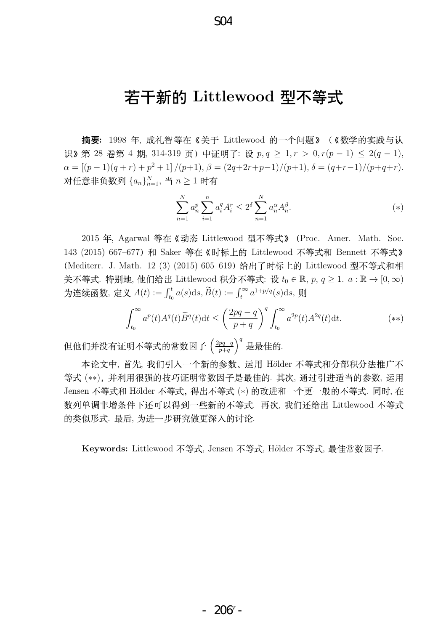## 若干新的 Littlewood 型不等式

**摘要:** 1998 年, 成礼智等在《关于 Littlewood 的一个问题》(《数学的实践与认 识》第28 卷第4 期, 314-319 页) 中证明了: 设 p, q > 1, r > 0, r(p − 1) < 2(q − 1),  $\alpha = \left[ (p-1)(q+r) + p^2 + 1 \right] / (p+1), \, \beta = \frac{(2q+2r+p-1)}{(p+1)}, \, \delta = \frac{(q+r-1)}{(p+q+r)}.$ 对任意非负数列  $\{a_n\}_{n=1}^N, \exists \, n \geq 1$  时有

$$
\sum_{n=1}^{N} a_n^p \sum_{i=1}^{n} a_i^q A_i^r \le 2^\delta \sum_{n=1}^{N} a_n^\alpha A_n^\beta.
$$
 (\*)

2015 年, Agarwal 等在 《动态 Littlewood 型不等式》 (Proc. Amer. Math. Soc. 143 (2015) 667-677) 和 Saker 等在《时标上的 Littlewood 不等式和 Bennett 不等式》 (Mediterr. J. Math. 12 (3) (2015) 605-619) 给出了时标上的 Littlewood 型不等式和相 关不等式. 特别地, 他们给出 Littlewood 积分不等式: 设  $t_0 \in \mathbb{R}$ ,  $p, q \geq 1$ .  $a: \mathbb{R} \to [0, \infty)$ 为连续函数, 定义  $A(t) := \int_{t_0}^t a(s)ds$ ,  $\widetilde{B}(t) := \int_t^{\infty} a^{1+p/q}(s)ds$ , 则

$$
\int_{t_0}^{\infty} a^p(t) A^q(t) \widetilde{B}^q(t) dt \le \left(\frac{2pq-q}{p+q}\right)^q \int_{t_0}^{\infty} a^{2p}(t) A^{2q}(t) dt. \tag{**}
$$

但他们并没有证明不等式的常数因子 (<del>2pq−q</del>  $p+q$  $\big)^{q}$ 是最佳的.

本论文中, 首先, 我们引入一个新的参数、运用 Hölder 不等式和分部积分法推广不 等式 (\*\*), 并利用很强的技巧证明常数因子是最佳的. 其次, 通过引进适当的参数, 运用 Jensen 不等式和 Hölder 不等式, 得出不等式 (\*) 的改进和一个更一般的不等式. 同时, 在 数列单调非增条件下还可以得到一些新的不等式. 再次, 我们还给出 Littlewood 不等式 的类似形式. 最后, 为进一步研究做更深入的讨论.

Keywords: Littlewood 不等式, Jensen 不等式, Hölder 不等式, 最佳常数因子.

S04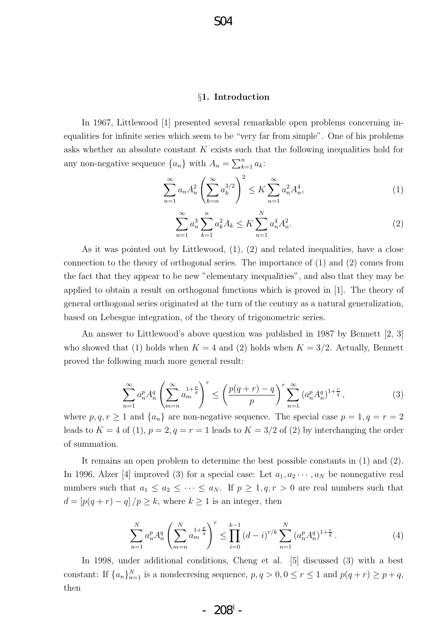## S04

### §1. Introduction

In 1967, Littlewood [1] presented several remarkable open problems concerning inequalities for infinite series which seem to be "very far from simple". One of his problems asks whether an absolute constant K exists such that the following inequalities hold for any non-negative sequence  $\{a_n\}$  with  $A_n = \sum_{k=1}^n a_k$ :

$$
\sum_{n=1}^{\infty} a_n A_n^2 \left( \sum_{k=n}^{\infty} a_k^{3/2} \right)^2 \le K \sum_{n=1}^{\infty} a_n^2 A_n^4,
$$
\n(1)

$$
\sum_{n=1}^{\infty} a_n^3 \sum_{k=1}^n a_k^2 A_k \le K \sum_{n=1}^N a_n^4 A_n^2.
$$
 (2)

As it was pointed out by Littlewood, (1), (2) and related inequalities, have a close connection to the theory of orthogonal series. The importance of (1) and (2) comes from the fact that they appear to be new "elementary inequalities", and also that they may be applied to obtain a result on orthogonal functions which is proved in [1]. The theory of general orthogonal series originated at the turn of the century as a natural generalization, based on Lebesgue integration, of the theory of trigonometric series.

An answer to Littlewood's above question was published in 1987 by Bennett [2, 3] who showed that (1) holds when  $K = 4$  and (2) holds when  $K = 3/2$ . Actually, Bennett proved the following much more general result:

$$
\sum_{n=1}^{\infty} a_n^p A_n^q \left( \sum_{m=n}^{\infty} a_m^{1+\frac{p}{q}} \right)^r \le \left( \frac{p(q+r) - q}{p} \right)^r \sum_{n=1}^{\infty} \left( a_n^p A_n^q \right)^{1+\frac{r}{q}},\tag{3}
$$

where  $p, q, r \ge 1$  and  $\{a_n\}$  are non-negative sequence. The special case  $p = 1, q = r = 2$ leads to  $K = 4$  of (1),  $p = 2, q = r = 1$  leads to  $K = 3/2$  of (2) by interchanging the order of summation.

It remains an open problem to determine the best possible constants in (1) and (2). In 1996, Alzer [4] improved (3) for a special case: Let  $a_1, a_2 \cdots, a_N$  be nonnegative real numbers such that  $a_1 \le a_2 \le \cdots \le a_N$ . If  $p \ge 1, q, r > 0$  are real numbers such that  $d = [p(q+r) - q]/p \ge k$ , where  $k \ge 1$  is an integer, then

$$
\sum_{n=1}^{N} a_n^p A_n^q \left( \sum_{m=n}^{N} a_m^{1+\frac{p}{q}} \right)^r \le \prod_{i=0}^{k-1} (d-i)^{r/k} \sum_{n=1}^{N} \left( a_n^p A_n^q \right)^{1+\frac{r}{q}}.
$$
 (4)

In 1998, under additional conditions, Cheng et al. [5] discussed (3) with a best constant: If  $\{a_n\}_{n=1}^N$  is a nondecresing sequence,  $p, q > 0, 0 \le r \le 1$  and  $p(q+r) \ge p+q$ , then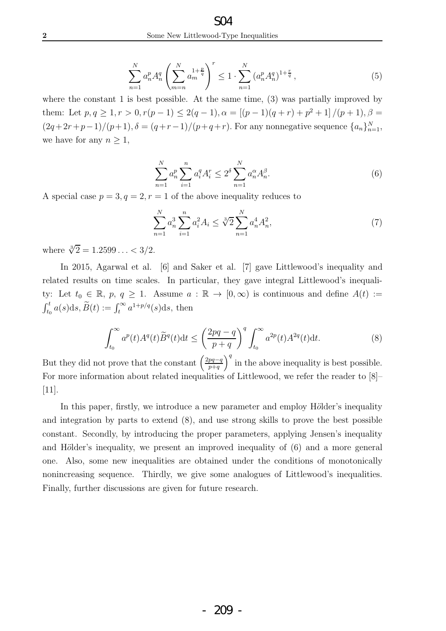$$
\sum_{n=1}^{N} a_n^p A_n^q \left( \sum_{m=n}^{N} a_m^{1+\frac{p}{q}} \right)^r \le 1 \cdot \sum_{n=1}^{N} \left( a_n^p A_n^q \right)^{1+\frac{r}{q}},\tag{5}
$$

where the constant 1 is best possible. At the same time, (3) was partially improved by them: Let  $p, q \ge 1, r > 0, r(p-1) \le 2(q-1), \alpha = [(p-1)(q+r)+p^2+1]/(p+1), \beta =$  $(2q+2r+p-1)/(p+1), \delta = (q+r-1)/(p+q+r)$ . For any nonnegative sequence  $\{a_n\}_{n=1}^N$ , we have for any  $n \geq 1$ ,

$$
\sum_{n=1}^{N} a_n^p \sum_{i=1}^{n} a_i^q A_i^r \le 2^\delta \sum_{n=1}^{N} a_n^\alpha A_n^\beta.
$$
 (6)

A special case  $p = 3, q = 2, r = 1$  of the above inequality reduces to

$$
\sum_{n=1}^{N} a_n^3 \sum_{i=1}^{n} a_i^2 A_i \le \sqrt[3]{2} \sum_{n=1}^{N} a_n^4 A_n^2,\tag{7}
$$

where  $\sqrt[3]{2} = 1.2599... < 3/2$ .

In 2015, Agarwal et al. [6] and Saker et al. [7] gave Littlewood's inequality and related results on time scales. In particular, they gave integral Littlewood's inequality: Let  $t_0 \in \mathbb{R}$ ,  $p, q \ge 1$ . Assume  $a : \mathbb{R} \to [0, \infty)$  is continuous and define  $A(t) :=$  $\int_{t_0}^t a(s)ds, \widetilde{B}(t) := \int_t^{\infty} a^{1+p/q}(s)ds$ , then

$$
\int_{t_0}^{\infty} a^p(t) A^q(t) \widetilde{B}^q(t) dt \le \left(\frac{2pq-q}{p+q}\right)^q \int_{t_0}^{\infty} a^{2p}(t) A^{2q}(t) dt.
$$
 (8)

But they did not prove that the constant  $\left(\frac{2pq-q}{p+q}\right)$  $p+q$  $\int_0^q$  in the above inequality is best possible. For more information about related inequalities of Littlewood, we refer the reader to [8]– [11].

In this paper, firstly, we introduce a new parameter and employ Hölder's inequality and integration by parts to extend (8), and use strong skills to prove the best possible constant. Secondly, by introducing the proper parameters, applying Jensen's inequality and Hölder's inequality, we present an improved inequality of  $(6)$  and a more general one. Also, some new inequalities are obtained under the conditions of monotonically nonincreasing sequence. Thirdly, we give some analogues of Littlewood's inequalities. Finally, further discussions are given for future research.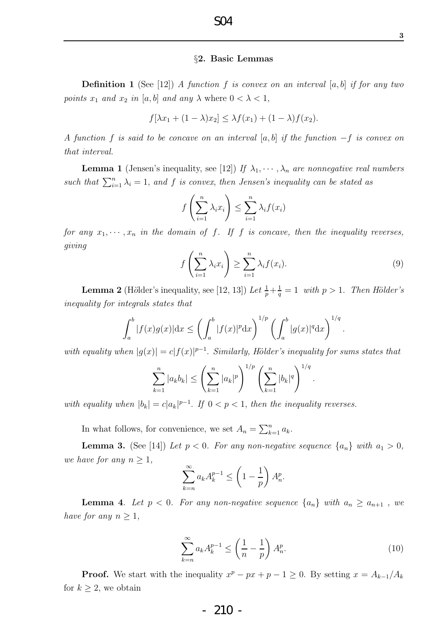### S04

#### §2. Basic Lemmas

Definition 1 (See [12]) *A function* f *is convex on an interval* [a, b] *if for any two points*  $x_1$  *and*  $x_2$  *in* [a, b] *and any*  $\lambda$  where  $0 < \lambda < 1$ ,

$$
f[\lambda x_1 + (1 - \lambda)x_2] \leq \lambda f(x_1) + (1 - \lambda)f(x_2).
$$

*A function* f *is said to be concave on an interval* [a, b] *if the function* −f *is convex on that interval.*

**Lemma 1** (Jensen's inequality, see [12]) *If*  $\lambda_1, \dots, \lambda_n$  *are nonnegative real numbers* such that  $\sum_{i=1}^{n} \lambda_i = 1$ , and f is convex, then Jensen's inequality can be stated as

$$
f\left(\sum_{i=1}^n \lambda_i x_i\right) \le \sum_{i=1}^n \lambda_i f(x_i)
$$

*for any*  $x_1, \dots, x_n$  *in the domain of f. If f is concave, then the inequality reverses, giving*

$$
f\left(\sum_{i=1}^{n} \lambda_i x_i\right) \ge \sum_{i=1}^{n} \lambda_i f(x_i). \tag{9}
$$

.

**Lemma 2** (Hölder's inequality, see [12, 13]) Let  $\frac{1}{p} + \frac{1}{q}$  $\frac{1}{q} = 1$  with  $p > 1$ . *Then Hölder's inequality for integrals states that*

$$
\int_a^b |f(x)g(x)| dx \le \left(\int_a^b |f(x)|^p dx\right)^{1/p} \left(\int_a^b |g(x)|^q dx\right)^{1/q}
$$

*with equality when*  $|g(x)| = c|f(x)|^{p-1}$ . *Similarly, Hölder's inequality for sums states that* 

$$
\sum_{k=1}^{n} |a_k b_k| \le \left(\sum_{k=1}^{n} |a_k|^p\right)^{1/p} \left(\sum_{k=1}^{n} |b_k|^q\right)^{1/q}.
$$

with equality when  $|b_k| = c|a_k|^{p-1}$ . If  $0 < p < 1$ , then the inequality reverses.

In what follows, for convenience, we set  $A_n = \sum_{k=1}^n a_k$ .

**Lemma 3.** (See [14]) Let  $p < 0$ . For any non-negative sequence  $\{a_n\}$  with  $a_1 > 0$ , *we have for any*  $n \geq 1$ ,

$$
\sum_{k=n}^{\infty} a_k A_k^{p-1} \le \left(1 - \frac{1}{p}\right) A_n^p.
$$

**Lemma 4.** Let  $p < 0$ . For any non-negative sequence  $\{a_n\}$  with  $a_n \geq a_{n+1}$ , we *have for any*  $n \geq 1$ *,* 

$$
\sum_{k=n}^{\infty} a_k A_k^{p-1} \le \left(\frac{1}{n} - \frac{1}{p}\right) A_n^p. \tag{10}
$$

**Proof.** We start with the inequality  $x^p - px + p - 1 \ge 0$ . By setting  $x = A_{k-1}/A_k$ for  $k \geq 2$ , we obtain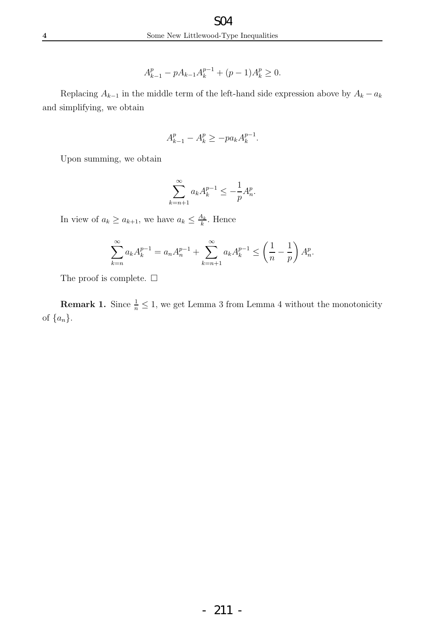$$
A_{k-1}^p - pA_{k-1}A_k^{p-1} + (p-1)A_k^p \ge 0.
$$

Replacing  $A_{k-1}$  in the middle term of the left-hand side expression above by  $A_k - a_k$ and simplifying, we obtain

$$
A_{k-1}^p - A_k^p \ge -pa_k A_k^{p-1}.
$$

Upon summing, we obtain

$$
\sum_{k=n+1}^{\infty} a_k A_k^{p-1} \le -\frac{1}{p} A_n^p.
$$

In view of  $a_k \ge a_{k+1}$ , we have  $a_k \le \frac{A_k}{k}$  $\frac{A_k}{k}$ . Hence

$$
\sum_{k=n}^{\infty} a_k A_k^{p-1} = a_n A_n^{p-1} + \sum_{k=n+1}^{\infty} a_k A_k^{p-1} \le \left(\frac{1}{n} - \frac{1}{p}\right) A_n^p.
$$

The proof is complete.  $\square$ 

**Remark 1.** Since  $\frac{1}{n} \leq 1$ , we get Lemma 3 from Lemma 4 without the monotonicity of  $\{a_n\}$ .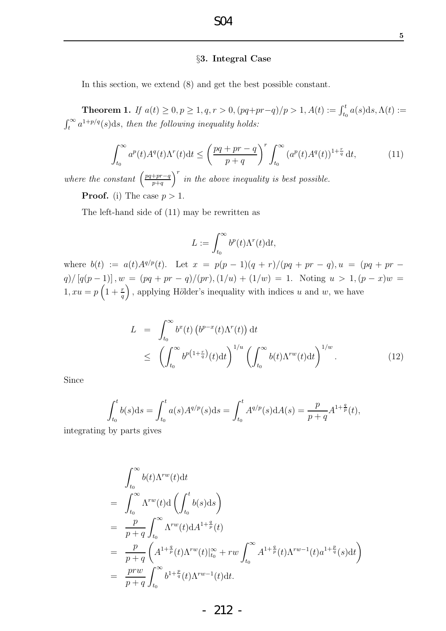#### §3. Integral Case

In this section, we extend (8) and get the best possible constant.

**Theorem 1.** If  $a(t) \ge 0, p \ge 1, q, r > 0, (pq+pr-q)/p > 1, A(t) := \int_{t_0}^{t} a(s) \, ds, \Lambda(t) :=$  $\int_t^{\infty} a^{1+p/q}(s)ds$ , then the following inequality holds:

$$
\int_{t_0}^{\infty} a^p(t)A^q(t)\Lambda^r(t)dt \le \left(\frac{pq+pr-q}{p+q}\right)^r \int_{t_0}^{\infty} \left(a^p(t)A^q(t)\right)^{1+\frac{r}{q}}dt,\tag{11}
$$

*where the constant*  $\left(\frac{pq+pr-q}{p+q}\right)$  $p+q$  $\int r^r$  *in the above inequality is best possible.* **Proof.** (i) The case  $p > 1$ .

The left-hand side of (11) may be rewritten as

$$
L := \int_{t_0}^{\infty} b^p(t) \Lambda^r(t) dt,
$$

where  $b(t) := a(t)A^{q/p}(t)$ . Let  $x = p(p-1)(q+r)/(pq+pr-q)$ ,  $u = (pq+pr-q)$  $q)/[q(p-1)]$ ,  $w = (pq + pr - q)/(pr)$ ,  $(1/u) + (1/w) = 1$ . Noting  $u > 1$ ,  $(p-x)w =$  $1, xu = p\left(1+\frac{r}{q}\right)$ ), applying Hölder's inequality with indices  $u$  and  $w$ , we have

$$
L = \int_{t_0}^{\infty} b^x(t) \left( b^{p-x}(t) \Lambda^r(t) \right) dt
$$
  
\n
$$
\leq \left( \int_{t_0}^{\infty} b^{p(1+\frac{r}{q})}(t) dt \right)^{1/u} \left( \int_{t_0}^{\infty} b(t) \Lambda^{rw}(t) dt \right)^{1/w}.
$$
 (12)

Since

$$
\int_{t_0}^t b(s)ds = \int_{t_0}^t a(s)A^{q/p}(s)ds = \int_{t_0}^t A^{q/p}(s)dA(s) = \frac{p}{p+q}A^{1+\frac{q}{p}}(t),
$$
 by parts gives

integrating by parts gives

$$
\int_{t_0}^{\infty} b(t) \Lambda^{rw}(t) dt
$$
\n
$$
= \int_{t_0}^{\infty} \Lambda^{rw}(t) d\left(\int_{t_0}^t b(s) ds\right)
$$
\n
$$
= \frac{p}{p+q} \int_{t_0}^{\infty} \Lambda^{rw}(t) dA^{1+\frac{q}{p}}(t)
$$
\n
$$
= \frac{p}{p+q} \left(A^{1+\frac{q}{p}}(t) \Lambda^{rw}(t)|_{t_0}^{\infty} + rw \int_{t_0}^{\infty} A^{1+\frac{q}{p}}(t) \Lambda^{rw-1}(t) a^{1+\frac{p}{q}}(s) dt\right)
$$
\n
$$
= \frac{prw}{p+q} \int_{t_0}^{\infty} b^{1+\frac{p}{q}}(t) \Lambda^{rw-1}(t) dt.
$$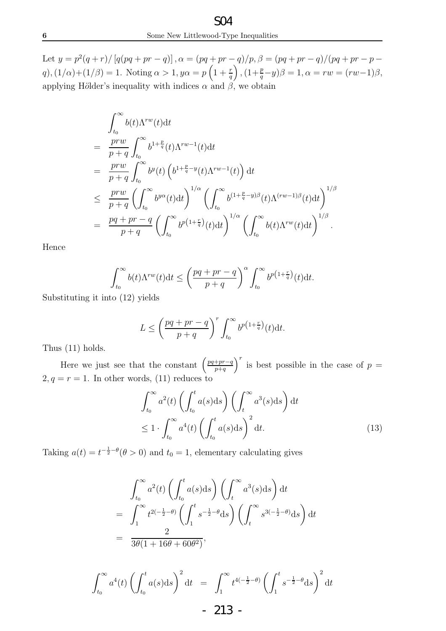Let  $y = p^2(q+r)/[q(pq+pr-q)], \alpha = (pq+pr-q)/p, \beta = (pq+pr-q)/(pq+pr-p$ q),  $(1/\alpha)+(1/\beta) = 1$ . Noting  $\alpha > 1$ ,  $y\alpha = p\left(1 + \frac{r}{q}\right)$  $,(1+\frac{p}{q}-y)\beta = 1, \alpha = rw = (rw-1)\beta,$ applying Hölder's inequality with indices  $\alpha$  and  $\beta$ , we obtain

$$
\int_{t_0}^{\infty} b(t) \Lambda^{rw}(t) dt
$$
\n
$$
= \frac{prw}{p+q} \int_{t_0}^{\infty} b^{1+\frac{p}{q}}(t) \Lambda^{rw-1}(t) dt
$$
\n
$$
= \frac{prw}{p+q} \int_{t_0}^{\infty} b^y(t) \left( b^{1+\frac{p}{q}-y}(t) \Lambda^{rw-1}(t) \right) dt
$$
\n
$$
\leq \frac{prw}{p+q} \left( \int_{t_0}^{\infty} b^{y\alpha}(t) dt \right)^{1/\alpha} \left( \int_{t_0}^{\infty} b^{(1+\frac{p}{q}-y)\beta}(t) \Lambda^{(rw-1)\beta}(t) dt \right)^{1/\beta}
$$
\n
$$
= \frac{pq+pr-q}{p+q} \left( \int_{t_0}^{\infty} b^{p(1+\frac{r}{q})}(t) dt \right)^{1/\alpha} \left( \int_{t_0}^{\infty} b(t) \Lambda^{rw}(t) dt \right)^{1/\beta}.
$$

Hence

$$
\int_{t_0}^{\infty} b(t) \Lambda^{rw}(t) dt \le \left(\frac{pq+pr-q}{p+q}\right)^{\alpha} \int_{t_0}^{\infty} b^{p\left(1+\frac{r}{q}\right)}(t) dt.
$$

Substituting it into (12) yields

$$
L \le \left(\frac{pq+pr-q}{p+q}\right)^r \int_{t_0}^{\infty} b^{p\left(1+\frac{r}{q}\right)}(t) \mathrm{d}t.
$$

Thus (11) holds.

Here we just see that the constant  $\left(\frac{pq+pr-q}{p+q}\right)$  $p+q$  $\int^r$  is best possible in the case of  $p =$  $2, q = r = 1$ . In other words, (11) reduces to

$$
\int_{t_0}^{\infty} a^2(t) \left( \int_{t_0}^t a(s) \, ds \right) \left( \int_t^{\infty} a^3(s) \, ds \right) \, dt
$$
\n
$$
\leq 1 \cdot \int_{t_0}^{\infty} a^4(t) \left( \int_{t_0}^t a(s) \, ds \right)^2 \, dt. \tag{13}
$$

Taking  $a(t) = t^{-\frac{1}{2}-\theta}(\theta > 0)$  and  $t_0 = 1$ , elementary calculating gives

$$
\int_{t_0}^{\infty} a^2(t) \left( \int_{t_0}^t a(s) \, ds \right) \left( \int_t^{\infty} a^3(s) \, ds \right) \, dt
$$
\n
$$
= \int_1^{\infty} t^{2(-\frac{1}{2}-\theta)} \left( \int_1^t s^{-\frac{1}{2}-\theta} \, ds \right) \left( \int_t^{\infty} s^{3(-\frac{1}{2}-\theta)} \, ds \right) \, dt
$$
\n
$$
= \frac{2}{3\theta(1+16\theta+60\theta^2)},
$$

$$
\int_{t_0}^{\infty} a^4(t) \left( \int_{t_0}^t a(s) \, ds \right)^2 \, dt = \int_1^{\infty} t^{4(-\frac{1}{2} - \theta)} \left( \int_1^t s^{-\frac{1}{2} - \theta} \, ds \right)^2 \, dt
$$
  
- 213 -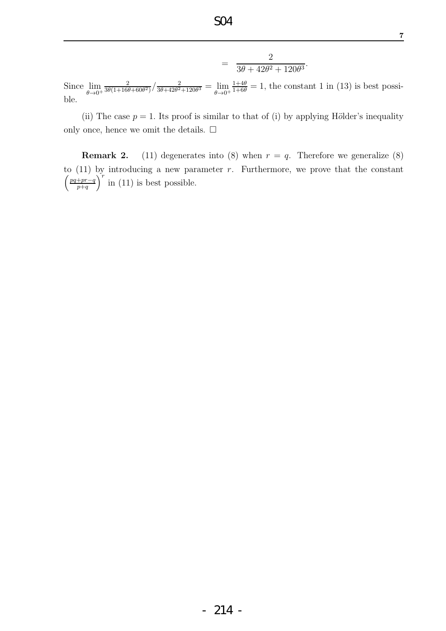$$
= \frac{2}{3\theta + 42\theta^2 + 120\theta^3}.
$$

Since  $\lim_{\theta \to 0^+}$ 2  $\frac{2}{3\theta(1+16\theta+60\theta^2)}\Big/\frac{2}{3\theta+42\theta^2}$  $\frac{2}{3\theta+42\theta^2+120\theta^3} = \lim_{\theta\to 0^+}$  $\frac{1+4\theta}{1+6\theta} = 1$ , the constant 1 in (13) is best possible.

(ii) The case  $p = 1$ . Its proof is similar to that of (i) by applying Hölder's inequality only once, hence we omit the details.  $\square$ 

**Remark 2.** (11) degenerates into (8) when  $r = q$ . Therefore we generalize (8) to  $(11)$  by introducing a new parameter r. Furthermore, we prove that the constant  $\int pq+pr-q$  $p+q$  $\int_{r}^{r}$  in (11) is best possible.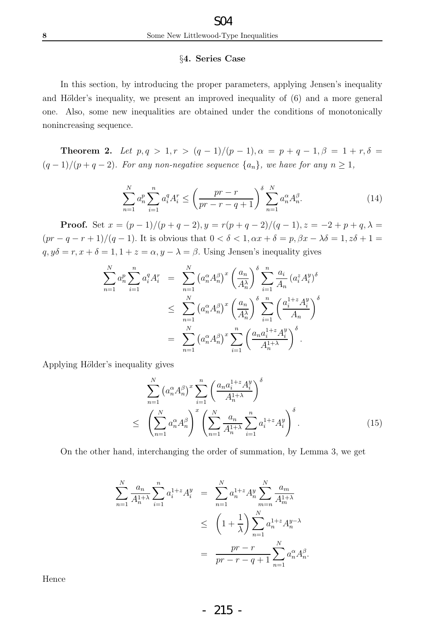### §4. Series Case

In this section, by introducing the proper parameters, applying Jensen's inequality and Hölder's inequality, we present an improved inequality of  $(6)$  and a more general one. Also, some new inequalities are obtained under the conditions of monotonically nonincreasing sequence.

**Theorem 2.** Let  $p, q > 1, r > (q - 1)/(p - 1), \alpha = p + q - 1, \beta = 1 + r, \delta =$  $(q-1)/(p+q-2)$ *. For any non-negative sequence*  $\{a_n\}$ *, we have for any*  $n \geq 1$ *,* 

$$
\sum_{n=1}^{N} a_n^p \sum_{i=1}^n a_i^q A_i^r \le \left(\frac{pr-r}{pr-r-q+1}\right)^{\delta} \sum_{n=1}^{N} a_n^{\alpha} A_n^{\beta}.
$$
 (14)

**Proof.** Set  $x = (p-1)/(p+q-2), y = r(p+q-2)/(q-1), z = -2 + p + q, \lambda =$  $(pr - q - r + 1)/(q - 1)$ . It is obvious that  $0 < \delta < 1, \alpha x + \delta = p, \beta x - \lambda \delta = 1, z\delta + 1 =$  $q, y\delta = r, x + \delta = 1, 1 + z = \alpha, y - \lambda = \beta$ . Using Jensen's inequality gives

$$
\sum_{n=1}^{N} a_n^p \sum_{i=1}^n a_i^q A_i^r = \sum_{n=1}^{N} \left( a_n^{\alpha} A_n^{\beta} \right)^x \left( \frac{a_n}{A_n^{\lambda}} \right)^{\delta} \sum_{i=1}^n \frac{a_i}{A_n} \left( a_i^z A_i^y \right)^{\delta}
$$
  

$$
\leq \sum_{n=1}^{N} \left( a_n^{\alpha} A_n^{\beta} \right)^x \left( \frac{a_n}{A_n^{\lambda}} \right)^{\delta} \sum_{i=1}^{n} \left( \frac{a_i^{1+z} A_i^y}{A_n} \right)^{\delta}
$$
  

$$
= \sum_{n=1}^{N} \left( a_n^{\alpha} A_n^{\beta} \right)^x \sum_{i=1}^{n} \left( \frac{a_n a_i^{1+z} A_i^y}{A_n^{1+\lambda}} \right)^{\delta}.
$$

Applying Hölder's inequality gives

$$
\sum_{n=1}^{N} \left( a_n^{\alpha} A_n^{\beta} \right)^x \sum_{i=1}^{n} \left( \frac{a_n a_i^{1+z} A_i^y}{A_n^{1+\lambda}} \right)^{\delta}
$$
\n
$$
\leq \left( \sum_{n=1}^{N} a_n^{\alpha} A_n^{\beta} \right)^x \left( \sum_{n=1}^{N} \frac{a_n}{A_n^{1+\lambda}} \sum_{i=1}^{n} a_i^{1+z} A_i^y \right)^{\delta} . \tag{15}
$$

On the other hand, interchanging the order of summation, by Lemma 3, we get

$$
\sum_{n=1}^{N} \frac{a_n}{A_n^{1+\lambda}} \sum_{i=1}^{n} a_i^{1+z} A_i^y = \sum_{n=1}^{N} a_n^{1+z} A_n^y \sum_{m=n}^{N} \frac{a_m}{A_m^{1+\lambda}}
$$
  

$$
\leq \left(1 + \frac{1}{\lambda}\right) \sum_{n=1}^{N} a_n^{1+z} A_n^{y-\lambda}
$$
  

$$
= \frac{pr - r}{pr - r - q + 1} \sum_{n=1}^{N} a_n^{\alpha} A_n^{\beta}.
$$

Hence

- 215 -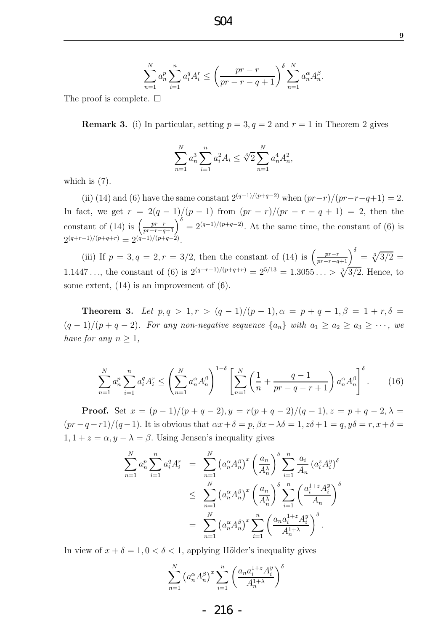$$
\sum_{n=1}^{N} a_n^p \sum_{i=1}^{n} a_i^q A_i^r \le \left(\frac{pr - r}{pr - r - q + 1}\right)^{\delta} \sum_{n=1}^{N} a_n^{\alpha} A_n^{\beta}
$$

The proof is complete.  $\Box$ 

**Remark 3.** (i) In particular, setting  $p = 3$ ,  $q = 2$  and  $r = 1$  in Theorem 2 gives

$$
\sum_{n=1}^{N} a_n^3 \sum_{i=1}^{n} a_i^2 A_i \le \sqrt[3]{2} \sum_{n=1}^{N} a_n^4 A_n^2,
$$

which is  $(7)$ .

(ii) (14) and (6) have the same constant  $2^{(q-1)/(p+q-2)}$  when  $(pr-r)/(pr-r-q+1) = 2$ . In fact, we get  $r = 2(q-1)/(p-1)$  from  $(pr-r)/(pr-r-q+1) = 2$ , then the constant of (14) is  $\left(\frac{pr-r}{pr-r-q+1}\right)^{\delta} = 2^{(q-1)/(p+q-2)}$ . At the same time, the constant of (6) is  $2^{(q+r-1)/(p+q+r)} = 2^{(q-1)/(p+q-2)}.$ 

(iii) If  $p = 3, q = 2, r = 3/2$ , then the constant of (14) is  $\left(\frac{pr-r}{pr-r-q+1}\right)^{\delta} = \sqrt[3]{3/2}$ 1.1447..., the constant of (6) is  $2^{(q+r-1)/(p+q+r)} = 2^{5/13} = 1.3055... > \sqrt[3]{3/2}$ . Hence, to some extent, (14) is an improvement of (6).

**Theorem 3.** Let  $p, q > 1, r > (q - 1)/(p - 1), \alpha = p + q - 1, \beta = 1 + r, \delta =$  $(q-1)/(p+q-2)$ *. For any non-negative sequence*  $\{a_n\}$  *with*  $a_1 \ge a_2 \ge a_3 \ge \cdots$ , we *have for any*  $n \geq 1$ *,* 

$$
\sum_{n=1}^{N} a_n^p \sum_{i=1}^n a_i^q A_i^r \le \left(\sum_{n=1}^{N} a_n^{\alpha} A_n^{\beta}\right)^{1-\delta} \left[\sum_{n=1}^{N} \left(\frac{1}{n} + \frac{q-1}{pr-q-r+1}\right) a_n^{\alpha} A_n^{\beta}\right]^{\delta}.
$$
 (16)

**Proof.** Set  $x = (p-1)/(p+q-2), y = r(p+q-2)/(q-1), z = p+q-2, \lambda =$  $(pr-q-r1)/(q-1)$ . It is obvious that  $\alpha x+\delta=p, \beta x-\lambda\delta=1, z\delta+1=q, y\delta=r, x+\delta=1$  $1, 1 + z = \alpha, y - \lambda = \beta$ . Using Jensen's inequality gives

$$
\sum_{n=1}^{N} a_n^p \sum_{i=1}^n a_i^q A_i^r = \sum_{n=1}^{N} (a_n^{\alpha} A_n^{\beta})^x \left(\frac{a_n}{A_n^{\lambda}}\right)^{\delta} \sum_{i=1}^n \frac{a_i}{A_n} (a_i^z A_i^y)^{\delta}
$$
  

$$
\leq \sum_{n=1}^{N} (a_n^{\alpha} A_n^{\beta})^x \left(\frac{a_n}{A_n^{\lambda}}\right)^{\delta} \sum_{i=1}^{N} \left(\frac{a_i^{1+z} A_i^y}{A_n}\right)^{\delta}
$$
  

$$
= \sum_{n=1}^{N} (a_n^{\alpha} A_n^{\beta})^x \sum_{i=1}^{N} \left(\frac{a_n a_i^{1+z} A_i^y}{A_n^{1+\lambda}}\right)^{\delta}.
$$

In view of  $x + \delta = 1, 0 < \delta < 1$ , applying Hölder's inequality gives

$$
\sum_{n=1}^{N} \left( a_n^{\alpha} A_n^{\beta} \right)^x \sum_{i=1}^{n} \left( \frac{a_n a_i^{1+z} A_i^y}{A_n^{1+\lambda}} \right)^{\delta}
$$

.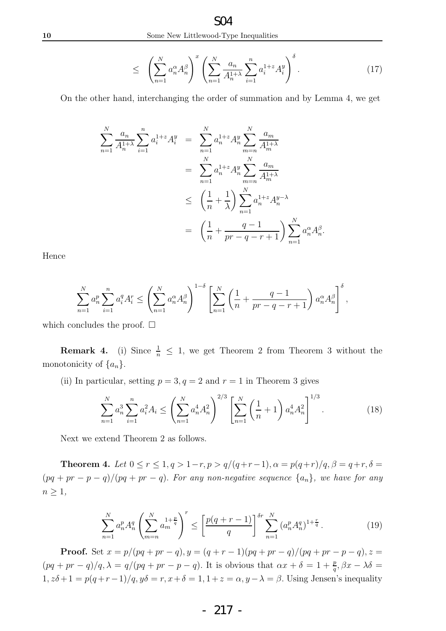$$
\leq \left(\sum_{n=1}^N a_n^{\alpha} A_n^{\beta}\right)^x \left(\sum_{n=1}^N \frac{a_n}{A_n^{1+\lambda}} \sum_{i=1}^n a_i^{1+z} A_i^y\right)^{\delta}.
$$
 (17)

On the other hand, interchanging the order of summation and by Lemma 4, we get

$$
\sum_{n=1}^{N} \frac{a_n}{A_n^{1+\lambda}} \sum_{i=1}^{n} a_i^{1+z} A_i^y = \sum_{n=1}^{N} a_n^{1+z} A_n^y \sum_{m=n}^{N} \frac{a_m}{A_m^{1+\lambda}}
$$
  

$$
= \sum_{n=1}^{N} a_n^{1+z} A_n^y \sum_{m=n}^{N} \frac{a_m}{A_m^{1+\lambda}}
$$
  

$$
\leq \left(\frac{1}{n} + \frac{1}{\lambda}\right) \sum_{n=1}^{N} a_n^{1+z} A_n^{y-\lambda}
$$
  

$$
= \left(\frac{1}{n} + \frac{q-1}{pr-q-r+1}\right) \sum_{n=1}^{N} a_n^{\alpha} A_n^{\beta}.
$$

Hence

$$
\sum_{n=1}^N a_n^p \sum_{i=1}^n a_i^q A_i^r \le \left(\sum_{n=1}^N a_n^{\alpha} A_n^{\beta}\right)^{1-\delta} \left[\sum_{n=1}^N \left(\frac{1}{n} + \frac{q-1}{pr-q-r+1}\right) a_n^{\alpha} A_n^{\beta}\right]^{\delta},
$$

which concludes the proof.  $\square$ 

**Remark 4.** (i) Since  $\frac{1}{n} \leq 1$ , we get Theorem 2 from Theorem 3 without the monotonicity of  $\{a_n\}$ .

(ii) In particular, setting  $p = 3, q = 2$  and  $r = 1$  in Theorem 3 gives

$$
\sum_{n=1}^{N} a_n^3 \sum_{i=1}^{n} a_i^2 A_i \le \left(\sum_{n=1}^{N} a_n^4 A_n^2\right)^{2/3} \left[\sum_{n=1}^{N} \left(\frac{1}{n} + 1\right) a_n^4 A_n^2\right]^{1/3}.
$$
 (18)

Next we extend Theorem 2 as follows.

**Theorem 4.** Let  $0 \le r \le 1, q > 1-r, p > q/(q+r-1), \alpha = p(q+r)/q, \beta = q+r, \delta =$  $(pq + pr - p - q)/(pq + pr - q)$ . For any non-negative sequence  $\{a_n\}$ , we have for any  $n \geq 1$ ,

$$
\sum_{n=1}^{N} a_n^p A_n^q \left( \sum_{m=n}^{N} a_m^{1+\frac{p}{q}} \right)^r \le \left[ \frac{p(q+r-1)}{q} \right]^{\delta r} \sum_{n=1}^{N} \left( a_n^p A_n^q \right)^{1+\frac{r}{q}}.
$$
 (19)

**Proof.** Set  $x = p/(pq + pr - q)$ ,  $y = (q + r - 1)(pq + pr - q)/(pq + pr - p - q)$ ,  $z =$  $(pq+pr-q)/q$ ,  $\lambda = q/(pq+pr-p-q)$ . It is obvious that  $\alpha x + \delta = 1 + \frac{p}{q}$ ,  $\beta x - \lambda \delta =$  $1, z\delta+1=p(q+r-1)/q, y\delta=r, x+\delta=1, 1+z=\alpha, y-\lambda=\beta$ . Using Jensen's inequality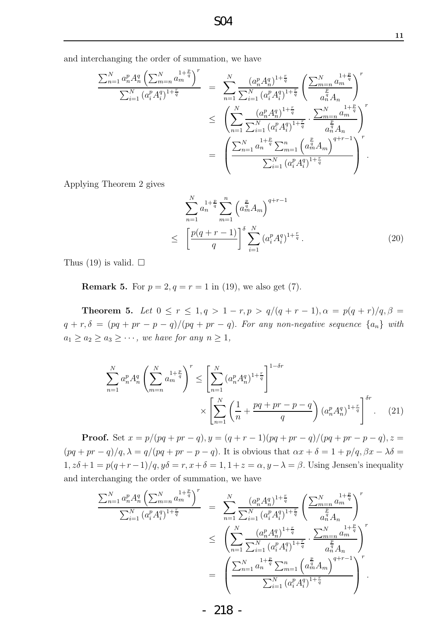and interchanging the order of summation, we have

$$
\frac{\sum_{n=1}^{N} a_n^p A_n^q \left(\sum_{m=n}^{N} \frac{1+\frac{p}{q}}{a_m}\right)^r}{\sum_{i=1}^{N} (a_i^p A_i^q)^{1+\frac{r}{q}}} = \sum_{n=1}^{N} \frac{(a_n^p A_n^q)^{1+\frac{r}{q}}}{\sum_{i=1}^{N} (a_i^p A_i^q)^{1+\frac{r}{q}}} \left(\frac{\sum_{m=n}^{N} \frac{1+\frac{p}{q}}{a_m^q}}{a_n^q A_n}\right)^r
$$
  

$$
\leq \left(\sum_{n=1}^{N} \frac{(a_n^p A_n^q)^{1+\frac{r}{q}}}{\sum_{i=1}^{N} (a_i^p A_i^q)^{1+\frac{r}{q}}} \cdot \frac{\sum_{m=n}^{N} \frac{1+\frac{p}{q}}{a_m^q A_n}}{a_n^q A_n}\right)^r
$$
  

$$
= \left(\frac{\sum_{n=1}^{N} \frac{1+\frac{p}{q}}{a_n^q \sum_{m=1}^{N} (a_n^p A_i^q)^{1+\frac{r}{q}}}}{\sum_{i=1}^{N} (a_i^p A_i^q)^{1+\frac{r}{q}}} \right)^r.
$$

Applying Theorem 2 gives

$$
\sum_{n=1}^{N} a_n^{1+\frac{p}{q}} \sum_{m=1}^{n} \left( a_m^{\frac{p}{q}} A_m \right)^{q+r-1}
$$
\n
$$
\leq \left[ \frac{p(q+r-1)}{q} \right]^{\delta} \sum_{i=1}^{N} \left( a_i^p A_i^q \right)^{1+\frac{r}{q}}.
$$
\n(20)

Thus (19) is valid.  $\square$ 

**Remark 5.** For  $p = 2, q = r = 1$  in (19), we also get (7).

**Theorem 5.** Let  $0 \le r \le 1, q > 1 - r, p > q/(q + r - 1), \alpha = p(q + r)/q, \beta =$  $q + r, \delta = (pq + pr - p - q)/(pq + pr - q)$ . For any non-negative sequence  $\{a_n\}$  with  $a_1 \ge a_2 \ge a_3 \ge \cdots$ , we have for any  $n \ge 1$ ,

$$
\sum_{n=1}^{N} a_n^p A_n^q \left( \sum_{m=n}^{N} a_m^{1+\frac{p}{q}} \right)^r \le \left[ \sum_{n=1}^{N} (a_n^p A_n^q)^{1+\frac{r}{q}} \right]^{1-\delta r} \times \left[ \sum_{n=1}^{N} \left( \frac{1}{n} + \frac{pq + pr - p - q}{q} \right) (a_n^p A_n^q)^{1+\frac{r}{q}} \right]^{\delta r} . \tag{21}
$$

**Proof.** Set  $x = p/(pq + pr - q)$ ,  $y = (q + r - 1)(pq + pr - q)/(pq + pr - p - q)$ ,  $z =$  $(pq + pr - q)/q$ ,  $\lambda = q/(pq + pr - p - q)$ . It is obvious that  $\alpha x + \delta = 1 + p/q$ ,  $\beta x - \lambda \delta =$  $1, z\delta +1 = p(q+r-1)/q, y\delta = r, x+\delta = 1, 1+z = \alpha, y-\lambda = \beta$ . Using Jensen's inequality and interchanging the order of summation, we have

$$
\frac{\sum_{n=1}^{N} a_n^p A_n^q \left(\sum_{m=n}^{N} a_m^{1+\frac{p}{q}}\right)^r}{\sum_{i=1}^{N} (a_i^p A_i^q)^{1+\frac{r}{q}}} = \sum_{n=1}^{N} \frac{(a_n^p A_n^q)^{1+\frac{r}{q}}}{\sum_{i=1}^{N} (a_i^p A_i^q)^{1+\frac{r}{q}}} \left(\frac{\sum_{m=n}^{N} a_m^{1+\frac{p}{q}}}{a_n^q A_n}\right)^r
$$
  

$$
\leq \left(\sum_{n=1}^{N} \frac{(a_n^p A_n^q)^{1+\frac{r}{q}}}{\sum_{i=1}^{N} (a_i^p A_i^q)^{1+\frac{r}{q}}} \cdot \frac{\sum_{m=n}^{N} a_m^{1+\frac{p}{q}}}{a_n^q A_n}\right)^r
$$
  

$$
= \left(\frac{\sum_{n=1}^{N} a_n^{1+\frac{p}{q}} \sum_{m=1}^{n} (a_m^p A_m^q)^{q+r-1}}{\sum_{i=1}^{N} (a_i^p A_i^q)^{1+\frac{r}{q}}}\right)^r.
$$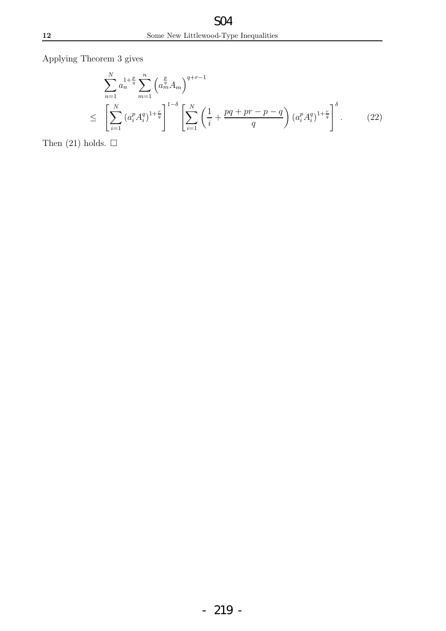Applying Theorem 3 gives

$$
\sum_{n=1}^{N} a_n^{1+\frac{p}{q}} \sum_{m=1}^{n} \left( a_m^{\frac{p}{q}} A_m \right)^{q+r-1}
$$
\n
$$
\leq \left[ \sum_{i=1}^{N} \left( a_i^p A_i^q \right)^{1+\frac{r}{q}} \right]^{1-\delta} \left[ \sum_{i=1}^{N} \left( \frac{1}{i} + \frac{pq+pr-p-q}{q} \right) \left( a_i^p A_i^q \right)^{1+\frac{r}{q}} \right]^{\delta}.
$$
\n(22)

Then  $(21)$  holds.  $\square$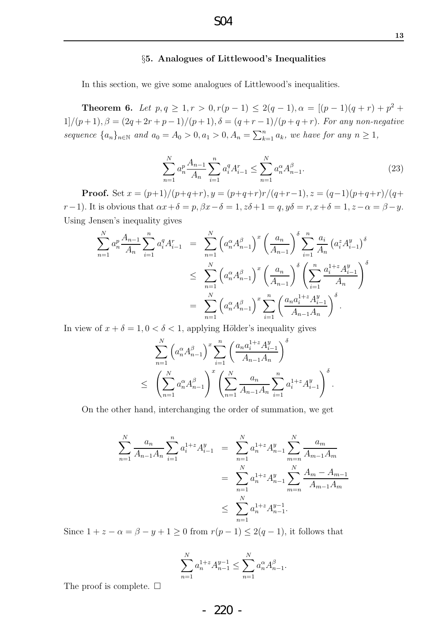#### §5. Analogues of Littlewood's Inequalities

In this section, we give some analogues of Littlewood's inequalities.

**Theorem 6.** Let  $p, q \ge 1, r > 0, r(p-1) \le 2(q-1), \alpha = [(p-1)(q+r)+p^2+r]$  $1]/(p+1), \beta = (2q+2r+p-1)/(p+1), \delta = (q+r-1)/(p+q+r).$  *For any non-negative sequence*  $\{a_n\}_{n\in\mathbb{N}}$  and  $a_0 = A_0 > 0, a_1 > 0, A_n = \sum_{k=1}^n a_k$ *, we have for any*  $n \ge 1$ *,* 

$$
\sum_{n=1}^{N} a_n^p \frac{A_{n-1}}{A_n} \sum_{i=1}^n a_i^q A_{i-1}^r \le \sum_{n=1}^{N} a_n^{\alpha} A_{n-1}^{\beta}.
$$
 (23)

**Proof.** Set  $x = (p+1)/(p+q+r)$ ,  $y = (p+q+r)r/(q+r-1)$ ,  $z = (q-1)(p+q+r)/(q+r)$ r−1). It is obvious that  $\alpha x + \delta = p$ ,  $\beta x - \delta = 1$ ,  $z\delta + 1 = q$ ,  $y\delta = r$ ,  $x + \delta = 1$ ,  $z - \alpha = \beta - y$ . Using Jensen's inequality gives

$$
\sum_{n=1}^{N} a_n^p \frac{A_{n-1}}{A_n} \sum_{i=1}^n a_i^q A_{i-1}^r = \sum_{n=1}^{N} \left( a_n^{\alpha} A_{n-1}^{\beta} \right)^x \left( \frac{a_n}{A_{n-1}} \right)^{\delta} \sum_{i=1}^n \frac{a_i}{A_n} \left( a_i^z A_{i-1}^y \right)^{\delta}
$$
  

$$
\leq \sum_{n=1}^{N} \left( a_n^{\alpha} A_{n-1}^{\beta} \right)^x \left( \frac{a_n}{A_{n-1}} \right)^{\delta} \left( \sum_{i=1}^n \frac{a_i^{1+z} A_{i-1}^y}{A_n} \right)^{\delta}
$$
  

$$
= \sum_{n=1}^{N} \left( a_n^{\alpha} A_{n-1}^{\beta} \right)^x \sum_{i=1}^n \left( \frac{a_n a_i^{1+z} A_{i-1}^y}{A_{n-1} A_n} \right)^{\delta}.
$$

In view of  $x + \delta = 1, 0 < \delta < 1$ , applying Hölder's inequality gives

$$
\sum_{n=1}^{N} \left( a_n^{\alpha} A_{n-1}^{\beta} \right)^x \sum_{i=1}^{n} \left( \frac{a_n a_i^{1+z} A_{i-1}^y}{A_{n-1} A_n} \right)^{\delta}
$$
\n
$$
\leq \left( \sum_{n=1}^{N} a_n^{\alpha} A_{n-1}^{\beta} \right)^x \left( \sum_{n=1}^{N} \frac{a_n}{A_{n-1} A_n} \sum_{i=1}^{n} a_i^{1+z} A_{i-1}^y \right)^{\delta}.
$$

On the other hand, interchanging the order of summation, we get

$$
\sum_{n=1}^{N} \frac{a_n}{A_{n-1}A_n} \sum_{i=1}^{n} a_i^{1+z} A_{i-1}^y = \sum_{n=1}^{N} a_n^{1+z} A_{n-1}^y \sum_{m=n}^{N} \frac{a_m}{A_{m-1}A_m}
$$
  

$$
= \sum_{n=1}^{N} a_n^{1+z} A_{n-1}^y \sum_{m=n}^{N} \frac{A_m - A_{m-1}}{A_{m-1}A_m}
$$
  

$$
\leq \sum_{n=1}^{N} a_n^{1+z} A_{n-1}^{y-1}.
$$

Since  $1 + z - \alpha = \beta - y + 1 \ge 0$  from  $r(p-1) \le 2(q-1)$ , it follows that

$$
\sum_{n=1}^{N} a_n^{1+z} A_{n-1}^{y-1} \le \sum_{n=1}^{N} a_n^{\alpha} A_{n-1}^{\beta}.
$$

The proof is complete.  $\Box$ 

- 220 -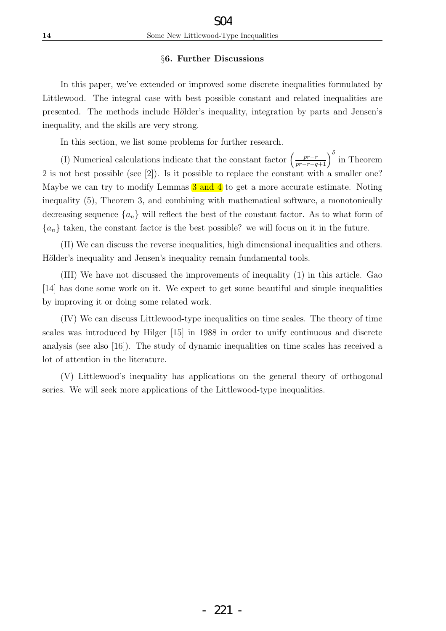### §6. Further Discussions

In this paper, we've extended or improved some discrete inequalities formulated by Littlewood. The integral case with best possible constant and related inequalities are presented. The methods include Hölder's inequality, integration by parts and Jensen's inequality, and the skills are very strong.

In this section, we list some problems for further research.

(I) Numerical calculations indicate that the constant factor  $\left(\frac{pr-r}{pr-r-q+1}\right)^{\delta}$  in Theorem 2 is not best possible (see [2]). Is it possible to replace the constant with a smaller one? Maybe we can try to modify Lemmas  $3$  and  $4$  to get a more accurate estimate. Noting inequality (5), Theorem 3, and combining with mathematical software, a monotonically decreasing sequence  ${a_n}$  will reflect the best of the constant factor. As to what form of  ${a_n}$  taken, the constant factor is the best possible? we will focus on it in the future.

(II) We can discuss the reverse inequalities, high dimensional inequalities and others. Hölder's inequality and Jensen's inequality remain fundamental tools.

(III) We have not discussed the improvements of inequality (1) in this article. Gao [14] has done some work on it. We expect to get some beautiful and simple inequalities by improving it or doing some related work.

(IV) We can discuss Littlewood-type inequalities on time scales. The theory of time scales was introduced by Hilger [15] in 1988 in order to unify continuous and discrete analysis (see also [16]). The study of dynamic inequalities on time scales has received a lot of attention in the literature.

(V) Littlewood's inequality has applications on the general theory of orthogonal series. We will seek more applications of the Littlewood-type inequalities.